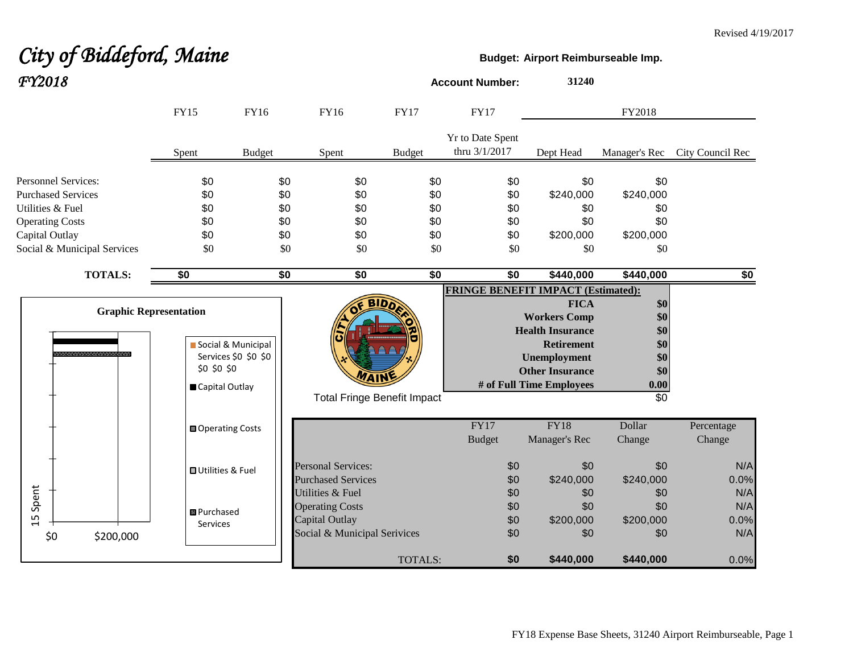#### Revised 4/19/2017

# City of Biddeford, Maine **Budget:** Airport Reimburseable Imp.

| FY2018                      |                               |                      |                                    |                                    | <b>Account Number:</b>            |                 | 31240                                     |               |                  |
|-----------------------------|-------------------------------|----------------------|------------------------------------|------------------------------------|-----------------------------------|-----------------|-------------------------------------------|---------------|------------------|
|                             | <b>FY15</b>                   | <b>FY16</b>          | FY16                               | <b>FY17</b>                        | <b>FY17</b>                       |                 |                                           | FY2018        |                  |
|                             | Spent                         | <b>Budget</b>        | Spent                              | <b>Budget</b>                      | Yr to Date Spent<br>thru 3/1/2017 |                 | Dept Head                                 | Manager's Rec | City Council Rec |
| <b>Personnel Services:</b>  | \$0                           | \$0                  | \$0                                |                                    | \$0                               | \$0             | \$0                                       | \$0           |                  |
| <b>Purchased Services</b>   | \$0                           |                      | \$0<br>\$0                         |                                    | \$0                               | \$0             | \$240,000                                 | \$240,000     |                  |
| Utilities & Fuel            | \$0                           |                      | \$0<br>\$0                         |                                    | \$0                               | \$0             | \$0                                       | \$0           |                  |
| <b>Operating Costs</b>      | \$0                           |                      | \$0<br>\$0                         |                                    | \$0                               | \$0             | \$0                                       | \$0           |                  |
| Capital Outlay              | \$0                           |                      | \$0<br>\$0                         |                                    | \$0                               | \$0             | \$200,000                                 | \$200,000     |                  |
| Social & Municipal Services | \$0                           |                      | \$0<br>\$0                         |                                    | \$0                               | \$0             | \$0                                       | \$0           |                  |
| <b>TOTALS:</b>              | \$0                           |                      | $\overline{50}$<br>$\overline{50}$ |                                    | $\overline{50}$                   | $\overline{50}$ | \$440,000                                 | \$440,000     | \$0              |
|                             |                               |                      |                                    |                                    |                                   |                 | <b>FRINGE BENEFIT IMPACT (Estimated):</b> |               |                  |
|                             |                               |                      |                                    | BID)                               |                                   |                 | <b>FICA</b>                               | \$0           |                  |
|                             | <b>Graphic Representation</b> |                      |                                    |                                    |                                   |                 | <b>Workers Comp</b>                       | \$0           |                  |
|                             |                               |                      |                                    |                                    |                                   |                 | <b>Health Insurance</b>                   | \$0           |                  |
| ,,,,,,,,,,,,,,,,,,,,,,,,    |                               | Social & Municipal   |                                    |                                    |                                   |                 | <b>Retirement</b>                         | \$0           |                  |
|                             | \$0 \$0 \$0                   | Services \$0 \$0 \$0 |                                    |                                    |                                   |                 | <b>Unemployment</b>                       | \$0           |                  |
|                             |                               |                      |                                    |                                    |                                   |                 | <b>Other Insurance</b>                    | \$0           |                  |
|                             | Capital Outlay                |                      |                                    |                                    |                                   |                 | # of Full Time Employees                  | 0.00<br>\$0   |                  |
|                             |                               |                      |                                    | <b>Total Fringe Benefit Impact</b> |                                   |                 |                                           |               |                  |
|                             | Operating Costs               |                      |                                    |                                    | FY17                              |                 | FY18                                      | Dollar        | Percentage       |
|                             |                               |                      |                                    |                                    | <b>Budget</b>                     |                 | Manager's Rec                             | Change        | Change           |
|                             | <b>OUtilities &amp; Fuel</b>  |                      | <b>Personal Services:</b>          |                                    |                                   | \$0             | \$0                                       | \$0           | N/A              |
|                             |                               |                      | <b>Purchased Services</b>          |                                    |                                   | \$0             | \$240,000                                 | \$240,000     | 0.0%             |
| Spent                       |                               |                      | <b>Utilities &amp; Fuel</b>        |                                    |                                   | \$0             | \$0                                       | \$0           | N/A              |
|                             | <b>B</b> Purchased            |                      | <b>Operating Costs</b>             |                                    |                                   | \$0             | \$0                                       | \$0           | N/A              |
| $\overline{1}$              | Services                      |                      | Capital Outlay                     |                                    |                                   | \$0             | \$200,000                                 | \$200,000     | 0.0%             |
| \$0<br>\$200,000            |                               |                      | Social & Municipal Serivices       |                                    |                                   | \$0             | \$0                                       | \$0           | N/A              |
|                             |                               |                      |                                    | TOTALS:                            |                                   | \$0             | \$440,000                                 | \$440,000     | 0.0%             |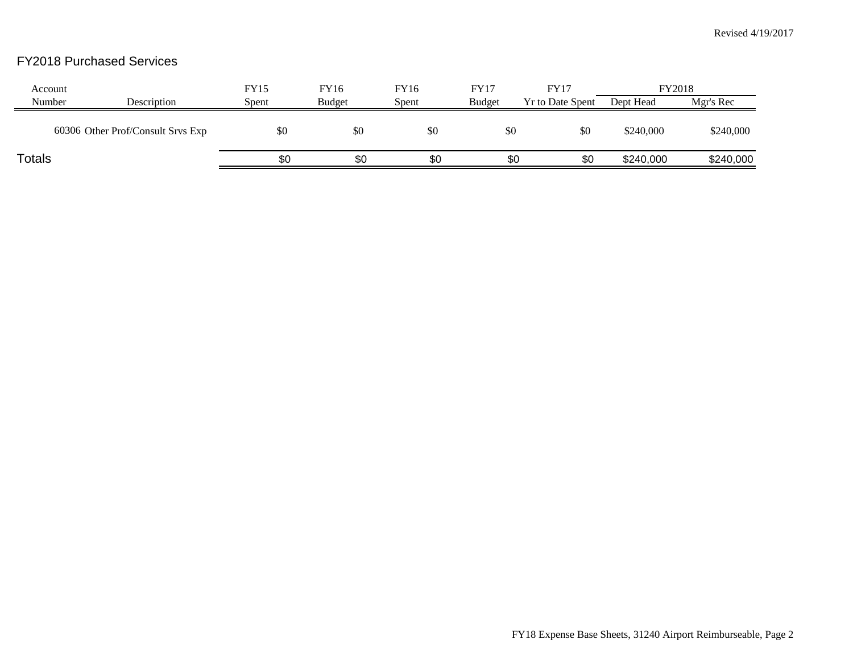# FY2018 Purchased Services

| Account |                                   | <b>FY15</b> | FY16          | FY16  | FY17          | <b>FY17</b>             | FY2018    |           |
|---------|-----------------------------------|-------------|---------------|-------|---------------|-------------------------|-----------|-----------|
| Number  | Description                       | Spent       | <b>Budget</b> | Spent | <b>Budget</b> | <b>Yr to Date Spent</b> | Dept Head | Mgr's Rec |
|         | 60306 Other Prof/Consult Srvs Exp | \$0         | \$0           | \$0   | \$0           | \$0                     | \$240,000 | \$240,000 |
| Totals  |                                   | \$0         | \$0           | \$0   | \$0           | \$0                     | \$240,000 | \$240,000 |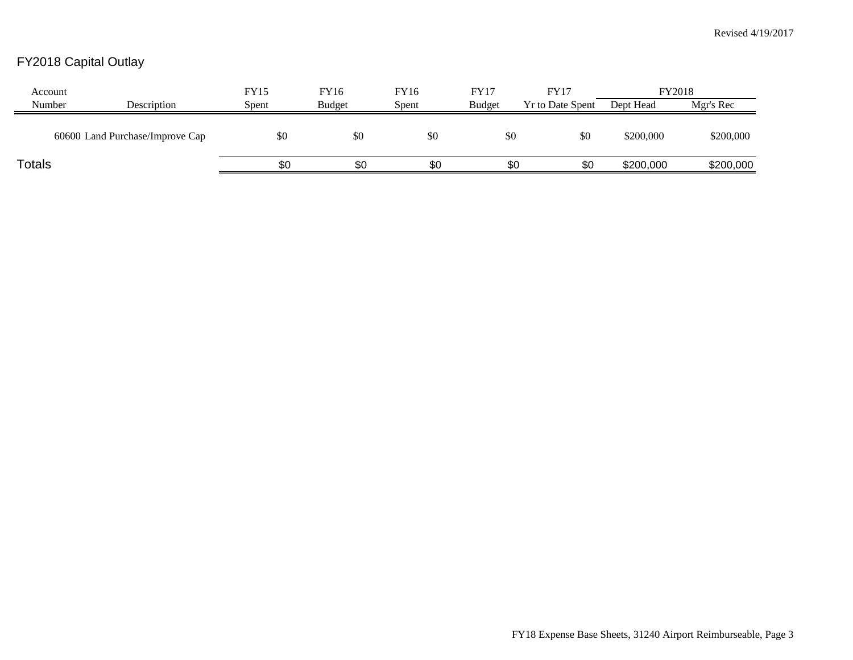# FY2018 Capital Outlay

| Account       |                                 | <b>FY15</b> | FY16          | FY16  | <b>FY17</b>   | FY17                    | FY2018    |           |
|---------------|---------------------------------|-------------|---------------|-------|---------------|-------------------------|-----------|-----------|
| Number        | Description                     | Spent       | <b>Budget</b> | Spent | <b>Budget</b> | <b>Yr to Date Spent</b> | Dept Head | Mgr's Rec |
|               | 60600 Land Purchase/Improve Cap | \$0         | \$0           | \$0   | \$0           | \$0                     | \$200,000 | \$200,000 |
| <b>Totals</b> |                                 | \$0         | \$0           | \$0   | \$0           | \$0                     | \$200,000 | \$200,000 |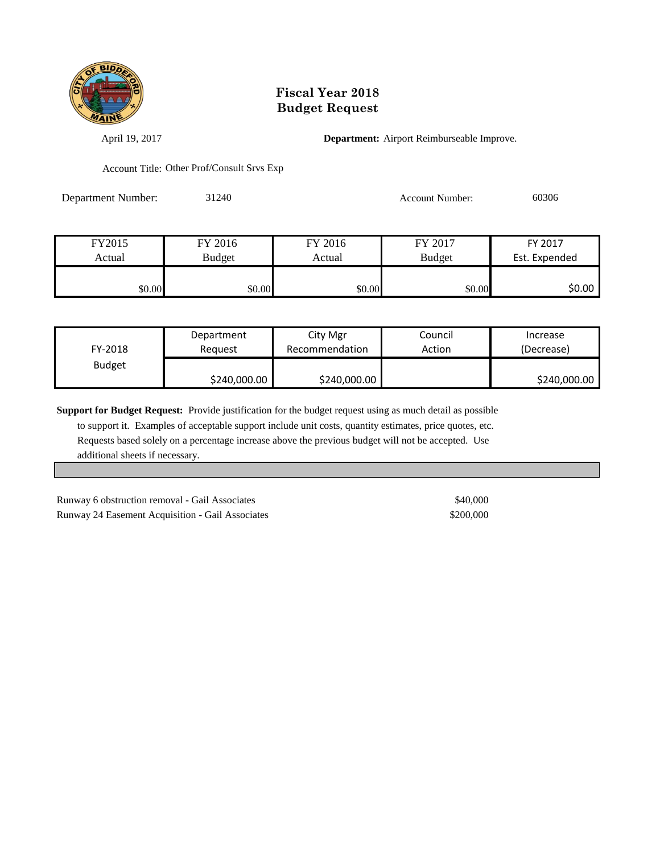

## **Fiscal Year 2018 Budget Request**

April 19, 2017 **Department:** Airport Reimburseable Improve.

Account Title: Other Prof/Consult Srvs Exp

Department Number: 31240 Account Number: 60306

| FY2015 | FY 2016 | FY 2016 | FY 2017       | FY 2017       |
|--------|---------|---------|---------------|---------------|
| Actual | Budget  |         | <b>Budget</b> | Est. Expended |
|        |         |         |               |               |
| \$0.00 | \$0.00  | \$0.00  | \$0.00        | \$0.00        |

| FY-2018       | Department   | City Mgr       | Council | Increase     |
|---------------|--------------|----------------|---------|--------------|
|               | Reauest      | Recommendation | Action  | (Decrease)   |
| <b>Budget</b> | \$240,000.00 | \$240,000.00   |         | \$240,000.00 |

**Support for Budget Request:** Provide justification for the budget request using as much detail as possible

 to support it. Examples of acceptable support include unit costs, quantity estimates, price quotes, etc. Requests based solely on a percentage increase above the previous budget will not be accepted. Use additional sheets if necessary.

Runway 6 obstruction removal - Gail Associates \$40,000 Runway 24 Easement Acquisition - Gail Associates \$200,000